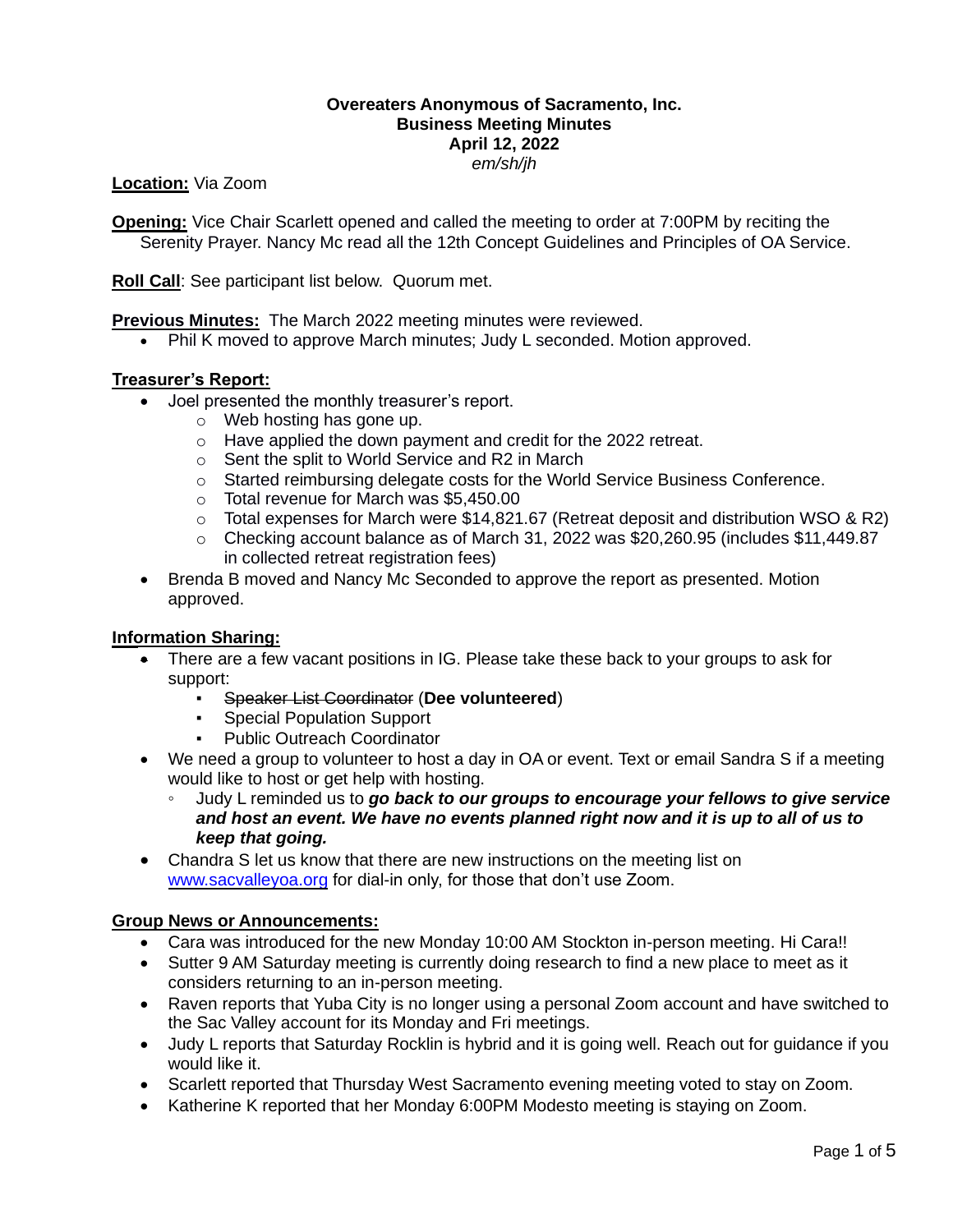### **Overeaters Anonymous of Sacramento, Inc. Business Meeting Minutes April 12, 2022** *em/sh/jh*

**Location:** Via Zoom

**Opening:** Vice Chair Scarlett opened and called the meeting to order at 7:00PM by reciting the Serenity Prayer. Nancy Mc read all the 12th Concept Guidelines and Principles of OA Service.

**Roll Call**: See participant list below. Quorum met.

**Previous Minutes:** The March 2022 meeting minutes were reviewed.

• Phil K moved to approve March minutes; Judy L seconded. Motion approved.

### **Treasurer's Report:**

- Joel presented the monthly treasurer's report.
	- o Web hosting has gone up.
	- o Have applied the down payment and credit for the 2022 retreat.
	- o Sent the split to World Service and R2 in March
	- o Started reimbursing delegate costs for the World Service Business Conference.
	- o Total revenue for March was \$5,450.00
	- $\circ$  Total expenses for March were \$14,821.67 (Retreat deposit and distribution WSO & R2)
	- o Checking account balance as of March 31, 2022 was \$20,260.95 (includes \$11,449.87 in collected retreat registration fees)
- Brenda B moved and Nancy Mc Seconded to approve the report as presented. Motion approved.

### **Information Sharing:**

- There are a few vacant positions in IG. Please take these back to your groups to ask for support:
	- Speaker List Coordinator (**Dee volunteered**)
	- Special Population Support
	- **Public Outreach Coordinator**
- We need a group to volunteer to host a day in OA or event. Text or email Sandra S if a meeting would like to host or get help with hosting.
	- Judy L reminded us to *go back to our groups to encourage your fellows to give service and host an event. We have no events planned right now and it is up to all of us to keep that going.*
- Chandra S let us know that there are new instructions on the meeting list on [www.sacvalleyoa.org](http://www.sacvalleyoa.org/) for dial-in only, for those that don't use Zoom.

### **Group News or Announcements:**

- Cara was introduced for the new Monday 10:00 AM Stockton in-person meeting. Hi Cara!!
- Sutter 9 AM Saturday meeting is currently doing research to find a new place to meet as it considers returning to an in-person meeting.
- Raven reports that Yuba City is no longer using a personal Zoom account and have switched to the Sac Valley account for its Monday and Fri meetings.
- Judy L reports that Saturday Rocklin is hybrid and it is going well. Reach out for guidance if you would like it.
- Scarlett reported that Thursday West Sacramento evening meeting voted to stay on Zoom.
- Katherine K reported that her Monday 6:00PM Modesto meeting is staying on Zoom.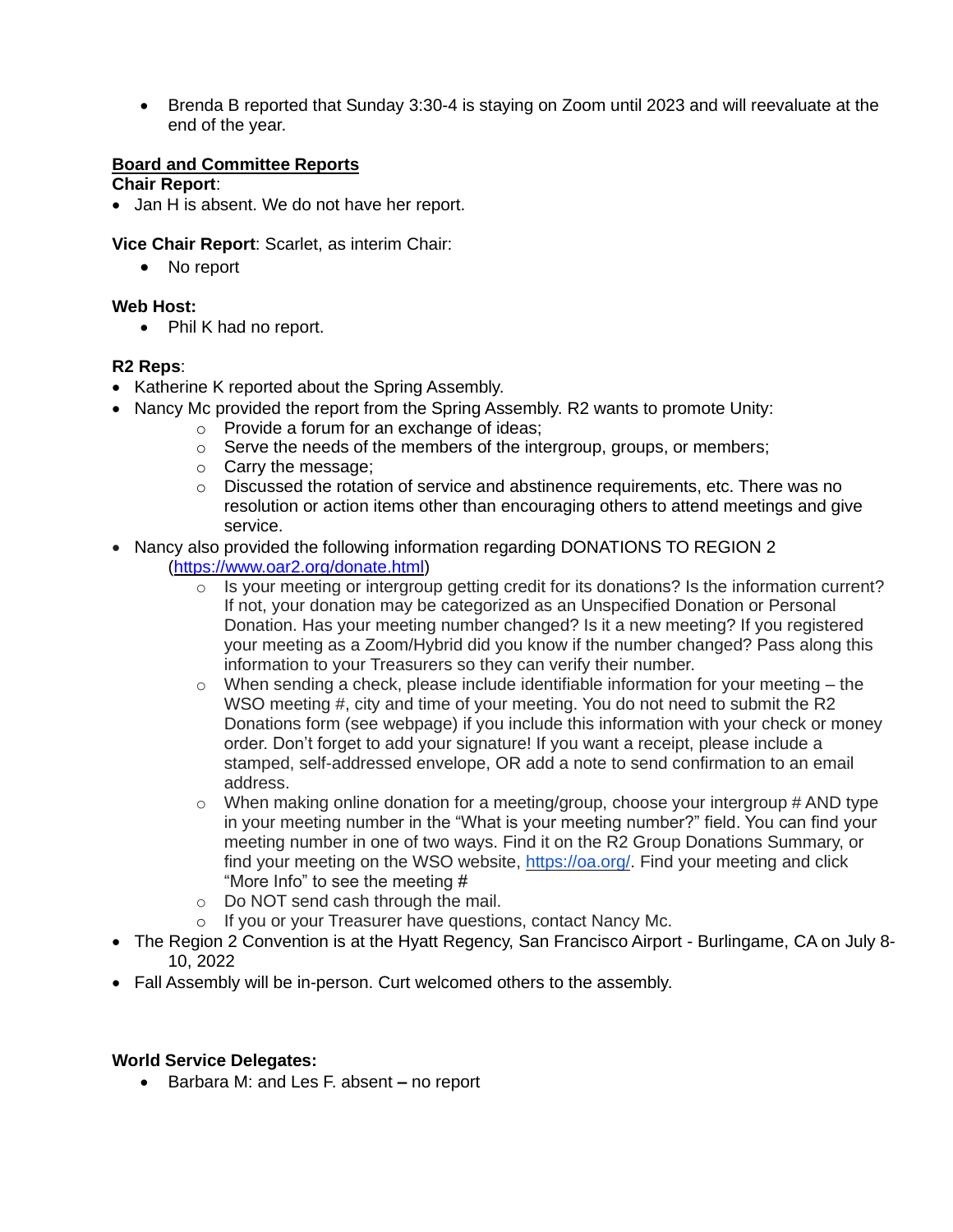• Brenda B reported that Sunday 3:30-4 is staying on Zoom until 2023 and will reevaluate at the end of the year.

### **Board and Committee Reports**

### **Chair Report**:

• Jan H is absent. We do not have her report.

**Vice Chair Report**: Scarlet, as interim Chair:

• No report

# **Web Host:**

• Phil K had no report.

### **R2 Reps**:

- Katherine K reported about the Spring Assembly.
- Nancy Mc provided the report from the Spring Assembly. R2 wants to promote Unity:
	- o Provide a forum for an exchange of ideas;
	- $\circ$  Serve the needs of the members of the intergroup, groups, or members;
	- o Carry the message;
	- $\circ$  Discussed the rotation of service and abstinence requirements, etc. There was no resolution or action items other than encouraging others to attend meetings and give service.
- Nancy also provided the following information regarding DONATIONS TO REGION 2 [\(https://www.oar2.org/donate.html\)](https://www.oar2.org/donate.html)
	- $\circ$  Is your meeting or intergroup getting credit for its donations? Is the information current? If not, your donation may be categorized as an Unspecified Donation or Personal Donation. Has your meeting number changed? Is it a new meeting? If you registered your meeting as a Zoom/Hybrid did you know if the number changed? Pass along this information to your Treasurers so they can verify their number.
	- $\circ$  When sending a check, please include identifiable information for your meeting the WSO meeting #, city and time of your meeting. You do not need to submit the R2 Donations form (see webpage) if you include this information with your check or money order. Don't forget to add your signature! If you want a receipt, please include a stamped, self-addressed envelope, OR add a note to send confirmation to an email address.
	- $\circ$  When making online donation for a meeting/group, choose your intergroup # AND type in your meeting number in the "What is your meeting number?" field. You can find your meeting number in one of two ways. Find it on the R2 Group Donations Summary, or find your meeting on the WSO website, [https://oa.org/.](https://oa.org/) Find your meeting and click "More Info" to see the meeting #
	- o Do NOT send cash through the mail.
	- o If you or your Treasurer have questions, contact Nancy Mc.
- The Region 2 Convention is at the Hyatt Regency, San Francisco Airport Burlingame, CA on July 8- 10, 2022
- Fall Assembly will be in-person. Curt welcomed others to the assembly.

## **World Service Delegates:**

• Barbara M: and Les F. absent **–** no report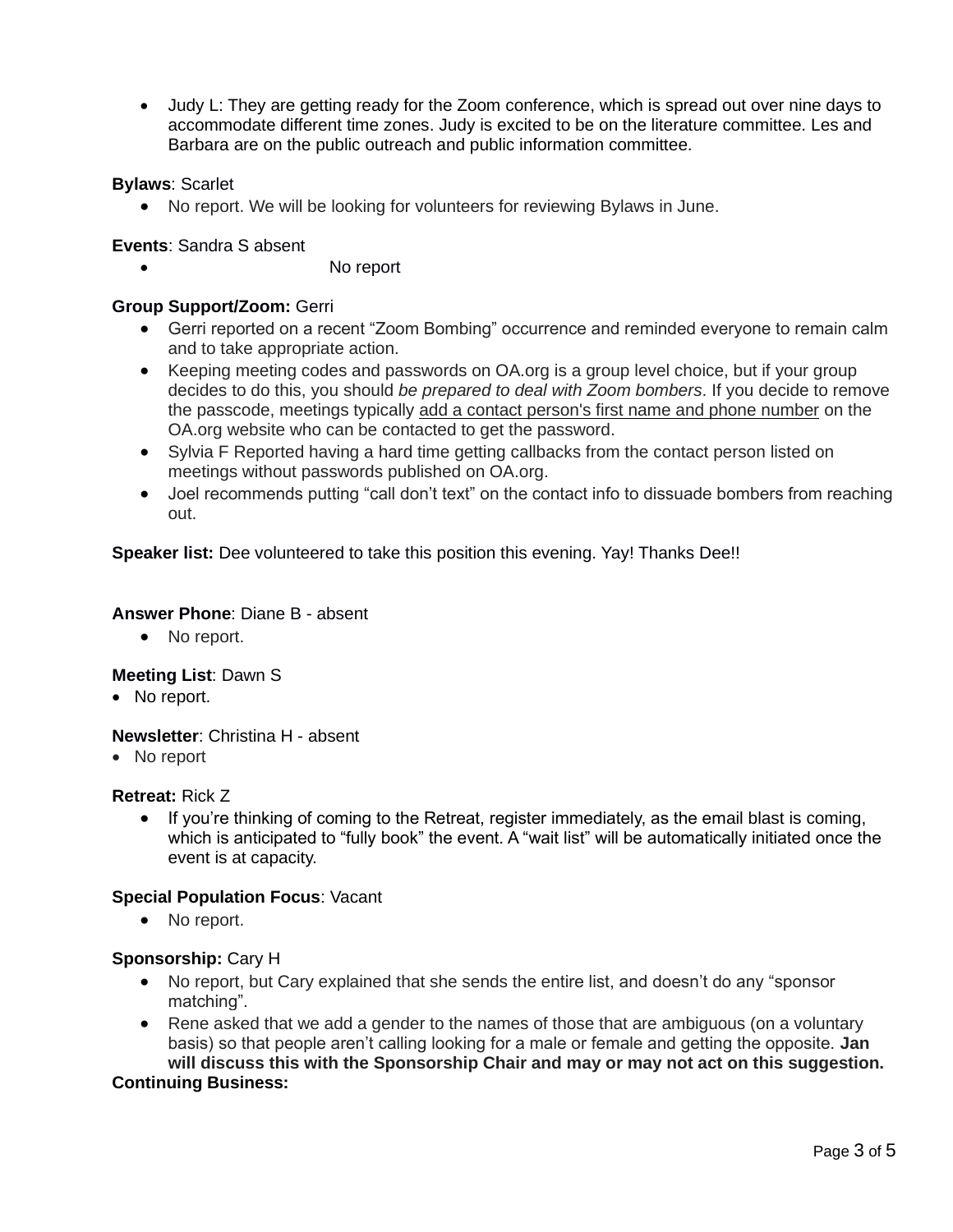• Judy L: They are getting ready for the Zoom conference, which is spread out over nine days to accommodate different time zones. Judy is excited to be on the literature committee. Les and Barbara are on the public outreach and public information committee.

## **Bylaws**: Scarlet

• No report. We will be looking for volunteers for reviewing Bylaws in June.

### **Events**: Sandra S absent

No report

### **Group Support/Zoom:** Gerri

- Gerri reported on a recent "Zoom Bombing" occurrence and reminded everyone to remain calm and to take appropriate action.
- Keeping meeting codes and passwords on OA.org is a group level choice, but if your group decides to do this, you should *be prepared to deal with Zoom bombers*. If you decide to remove the passcode, meetings typically add a contact person's first name and phone number on the OA.org website who can be contacted to get the password.
- Sylvia F Reported having a hard time getting callbacks from the contact person listed on meetings without passwords published on OA.org.
- Joel recommends putting "call don't text" on the contact info to dissuade bombers from reaching out.

**Speaker list:** Dee volunteered to take this position this evening. Yay! Thanks Dee!!

### **Answer Phone**: Diane B - absent

• No report.

### **Meeting List**: Dawn S

• No report.

### **Newsletter**: Christina H - absent

• No report

### **Retreat:** Rick Z

• If you're thinking of coming to the Retreat, register immediately, as the email blast is coming, which is anticipated to "fully book" the event. A "wait list" will be automatically initiated once the event is at capacity.

### **Special Population Focus**: Vacant

• No report.

### **Sponsorship:** Cary H

- No report, but Cary explained that she sends the entire list, and doesn't do any "sponsor matching".
- Rene asked that we add a gender to the names of those that are ambiguous (on a voluntary basis) so that people aren't calling looking for a male or female and getting the opposite. **Jan will discuss this with the Sponsorship Chair and may or may not act on this suggestion. Continuing Business:**

#### Page 3 of 5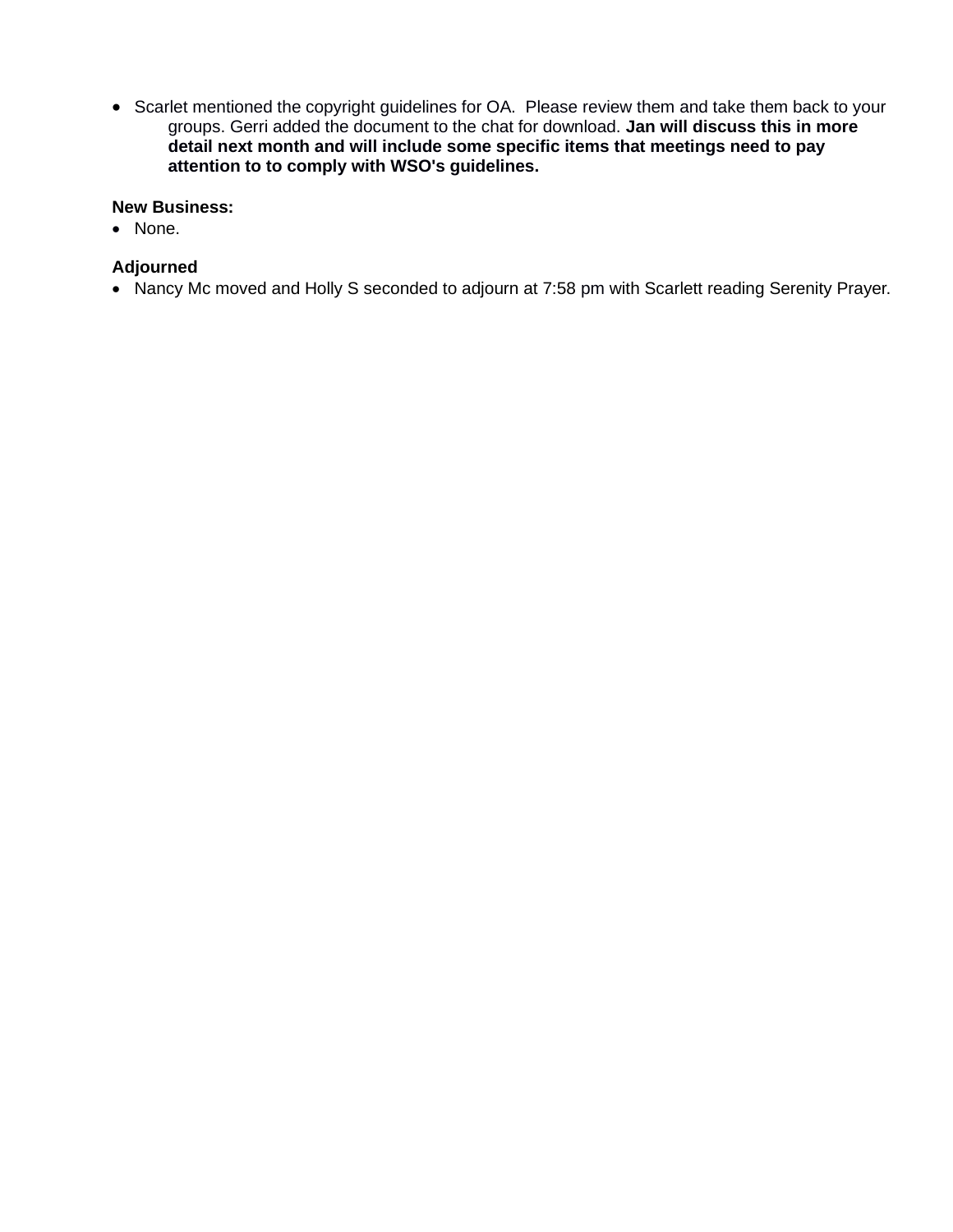• Scarlet mentioned the copyright guidelines for OA. Please review them and take them back to your groups. Gerri added the document to the chat for download. **Jan will discuss this in more detail next month and will include some specific items that meetings need to pay attention to to comply with WSO's guidelines.**

### **New Business:**

• None.

# **Adjourned**

• Nancy Mc moved and Holly S seconded to adjourn at 7:58 pm with Scarlett reading Serenity Prayer.